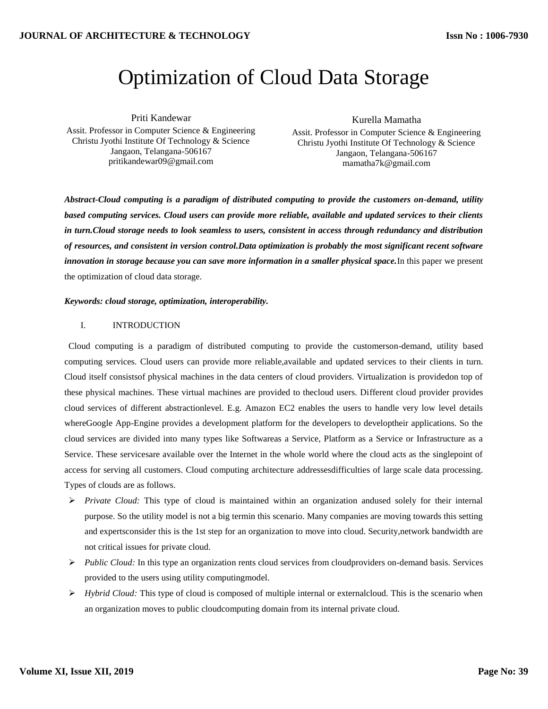# Optimization of Cloud Data Storage

Priti Kandewar Assit. Professor in Computer Science & Engineering Christu Jyothi Institute Of Technology & Science Jangaon, Telangana-506167 pritikandewar09@gmail.com

Kurella Mamatha

Assit. Professor in Computer Science & Engineering Christu Jyothi Institute Of Technology & Science Jangaon, Telangana-506167 mamatha7k@gmail.com

*Abstract-Cloud computing is a paradigm of distributed computing to provide the customers on-demand, utility based computing services. Cloud users can provide more reliable, available and updated services to their clients in turn.Cloud storage needs to look seamless to users, consistent in access through redundancy and distribution of resources, and consistent in version control.Data optimization is probably the most significant recent software innovation in storage because you can save more information in a smaller physical space.*In this paper we present the optimization of cloud data storage.

# *Keywords: cloud storage, optimization, interoperability.*

# I. INTRODUCTION

Cloud computing is a paradigm of distributed computing to provide the customerson-demand, utility based computing services. Cloud users can provide more reliable,available and updated services to their clients in turn. Cloud itself consistsof physical machines in the data centers of cloud providers. Virtualization is providedon top of these physical machines. These virtual machines are provided to thecloud users. Different cloud provider provides cloud services of different abstractionlevel. E.g. Amazon EC2 enables the users to handle very low level details whereGoogle App-Engine provides a development platform for the developers to developtheir applications. So the cloud services are divided into many types like Softwareas a Service, Platform as a Service or Infrastructure as a Service. These servicesare available over the Internet in the whole world where the cloud acts as the singlepoint of access for serving all customers. Cloud computing architecture addressesdifficulties of large scale data processing. Types of clouds are as follows.

- *Private Cloud:* This type of cloud is maintained within an organization andused solely for their internal purpose. So the utility model is not a big termin this scenario. Many companies are moving towards this setting and expertsconsider this is the 1st step for an organization to move into cloud. Security,network bandwidth are not critical issues for private cloud.
- *Public Cloud:* In this type an organization rents cloud services from cloudproviders on-demand basis. Services provided to the users using utility computingmodel.
- $\triangleright$  *Hybrid Cloud:* This type of cloud is composed of multiple internal or externalcloud. This is the scenario when an organization moves to public cloudcomputing domain from its internal private cloud.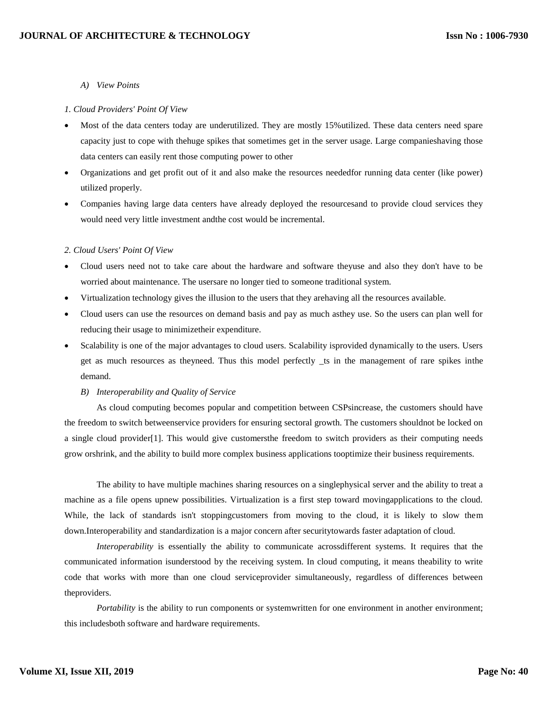#### *A) View Points*

#### *1. Cloud Providers' Point Of View*

- Most of the data centers today are underutilized. They are mostly 15%utilized. These data centers need spare capacity just to cope with thehuge spikes that sometimes get in the server usage. Large companieshaving those data centers can easily rent those computing power to other
- Organizations and get profit out of it and also make the resources neededfor running data center (like power) utilized properly.
- Companies having large data centers have already deployed the resourcesand to provide cloud services they would need very little investment andthe cost would be incremental.

#### *2. Cloud Users' Point Of View*

- Cloud users need not to take care about the hardware and software theyuse and also they don't have to be worried about maintenance. The usersare no longer tied to someone traditional system.
- Virtualization technology gives the illusion to the users that they arehaving all the resources available.
- Cloud users can use the resources on demand basis and pay as much asthey use. So the users can plan well for reducing their usage to minimizetheir expenditure.
- Scalability is one of the major advantages to cloud users. Scalability isprovided dynamically to the users. Users get as much resources as theyneed. Thus this model perfectly \_ts in the management of rare spikes inthe demand.
	- *B) Interoperability and Quality of Service*

As cloud computing becomes popular and competition between CSPsincrease, the customers should have the freedom to switch betweenservice providers for ensuring sectoral growth. The customers shouldnot be locked on a single cloud provider[1]. This would give customersthe freedom to switch providers as their computing needs grow orshrink, and the ability to build more complex business applications tooptimize their business requirements.

The ability to have multiple machines sharing resources on a singlephysical server and the ability to treat a machine as a file opens upnew possibilities. Virtualization is a first step toward movingapplications to the cloud. While, the lack of standards isn't stoppingcustomers from moving to the cloud, it is likely to slow them down.Interoperability and standardization is a major concern after securitytowards faster adaptation of cloud.

*Interoperability* is essentially the ability to communicate acrossdifferent systems. It requires that the communicated information isunderstood by the receiving system. In cloud computing, it means theability to write code that works with more than one cloud serviceprovider simultaneously, regardless of differences between theproviders.

*Portability* is the ability to run components or systemwritten for one environment in another environment; this includesboth software and hardware requirements.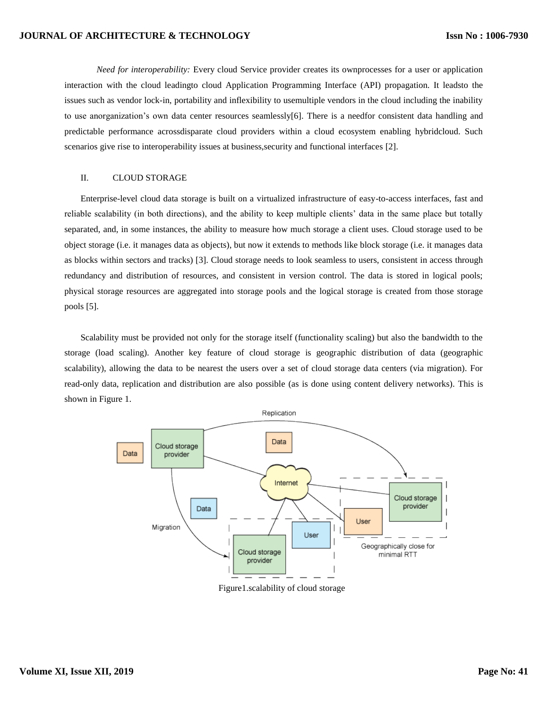## **JOURNAL OF ARCHITECTURE & TECHNOLOGY**

*Need for interoperability:* Every cloud Service provider creates its ownprocesses for a user or application interaction with the cloud leadingto cloud Application Programming Interface (API) propagation. It leadsto the issues such as vendor lock-in, portability and inflexibility to usemultiple vendors in the cloud including the inability to use anorganization's own data center resources seamlessly[6]. There is a needfor consistent data handling and predictable performance acrossdisparate cloud providers within a cloud ecosystem enabling hybridcloud. Such scenarios give rise to interoperability issues at business, security and functional interfaces [2].

# II. CLOUD STORAGE

Enterprise-level cloud data storage is built on a virtualized infrastructure of easy-to-access interfaces, fast and reliable scalability (in both directions), and the ability to keep multiple clients' data in the same place but totally separated, and, in some instances, the ability to measure how much storage a client uses. Cloud storage used to be object storage (i.e. it manages data as objects), but now it extends to methods like block storage (i.e. it manages data as blocks within sectors and tracks) [3]. Cloud storage needs to look seamless to users, consistent in access through redundancy and distribution of resources, and consistent in version control. The data is stored in logical pools; physical storage resources are aggregated into storage pools and the logical storage is created from those storage pools [5].

Scalability must be provided not only for the storage itself (functionality scaling) but also the bandwidth to the storage (load scaling). Another key feature of cloud storage is geographic distribution of data (geographic scalability), allowing the data to be nearest the users over a set of cloud storage data centers (via migration). For read-only data, replication and distribution are also possible (as is done using content delivery networks). This is shown in Figure 1.



Figure1.scalability of cloud storage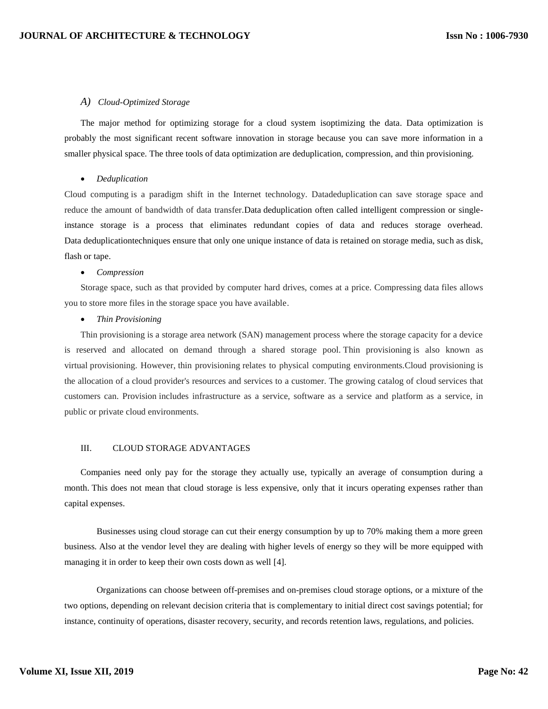## *A) Cloud-Optimized Storage*

The major method for optimizing storage for a cloud system isoptimizing the data. Data optimization is probably the most significant recent software innovation in storage because you can save more information in a smaller physical space. The three tools of data optimization are deduplication, compression, and thin provisioning.

#### *Deduplication*

Cloud computing is a paradigm shift in the Internet technology. Datadeduplication can save storage space and reduce the amount of bandwidth of data transfer.Data deduplication often called intelligent compression or singleinstance storage is a process that eliminates redundant copies of data and reduces storage overhead. Data deduplicationtechniques ensure that only one unique instance of data is retained on storage media, such as disk, flash or tape.

#### *Compression*

Storage space, such as that provided by computer hard drives, comes at a price. Compressing data files allows you to store more files in the storage space you have available.

#### *Thin Provisioning*

Thin provisioning is a storage area network (SAN) management process where the storage capacity for a device is reserved and allocated on demand through a shared storage pool. Thin provisioning is also known as virtual provisioning. However, thin provisioning relates to physical computing environments.Cloud provisioning is the allocation of a cloud provider's resources and services to a customer. The growing catalog of cloud services that customers can. Provision includes infrastructure as a service, software as a service and platform as a service, in public or private cloud environments.

# III. CLOUD STORAGE ADVANTAGES

Companies need only pay for the storage they actually use, typically an average of consumption during a month. This does not mean that cloud storage is less expensive, only that it incurs operating expenses rather than capital expenses.

Businesses using cloud storage can cut their energy consumption by up to 70% making them a more green business. Also at the vendor level they are dealing with higher levels of energy so they will be more equipped with managing it in order to keep their own costs down as well [4].

Organizations can choose between off-premises and on-premises cloud storage options, or a mixture of the two options, depending on relevant decision criteria that is complementary to initial direct cost savings potential; for instance, continuity of operations, disaster recovery, security, and records retention laws, regulations, and policies.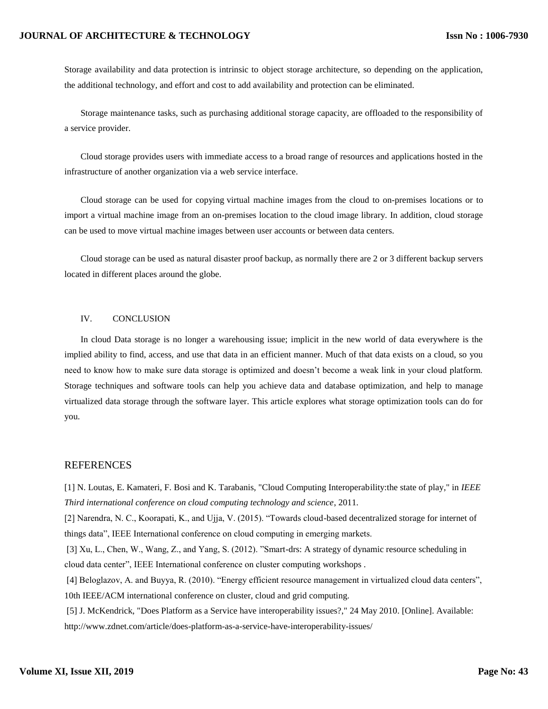## **JOURNAL OF ARCHITECTURE & TECHNOLOGY**

Storage availability and [data protection](https://en.wikipedia.org/wiki/Data_protection) is intrinsic to object storage architecture, so depending on the application, the additional technology, and effort and cost to add availability and protection can be eliminated.

Storage maintenance tasks, such as purchasing additional storage capacity, are offloaded to the responsibility of a service provider.

Cloud storage provides users with immediate access to a broad range of resources and applications hosted in the infrastructure of another organization via a web service interface.

Cloud storage can be used for copying [virtual machine images](https://en.wikipedia.org/wiki/Virtual_machine_image) from the cloud to on-premises locations or to import a virtual machine image from an on-premises location to the cloud image library. In addition, cloud storage can be used to move virtual machine images between user accounts or between data centers.

Cloud storage can be used as natural disaster proof backup, as normally there are 2 or 3 different backup servers located in different places around the globe.

## IV. CONCLUSION

In cloud Data storage is no longer a warehousing issue; implicit in the new world of data everywhere is the implied ability to find, access, and use that data in an efficient manner. Much of that data exists on a cloud, so you need to know how to make sure data storage is optimized and doesn't become a weak link in your cloud platform. Storage techniques and software tools can help you achieve data and database optimization, and help to manage virtualized data storage through the software layer. This article explores what storage optimization tools can do for you.

# **REFERENCES**

[1] N. Loutas, E. Kamateri, F. Bosi and K. Tarabanis, "Cloud Computing Interoperability:the state of play," in *IEEE Third international conference on cloud computing technology and science*, 2011.

[2] Narendra, N. C., Koorapati, K., and Ujja, V. (2015). "Towards cloud-based decentralized storage for internet of things data", IEEE International conference on cloud computing in emerging markets.

[3] Xu, L., Chen, W., Wang, Z., and Yang, S. (2012). "Smart-drs: A strategy of dynamic resource scheduling in cloud data center", IEEE International conference on cluster computing workshops .

[4] Beloglazov, A. and Buyya, R. (2010). "Energy efficient resource management in virtualized cloud data centers", 10th IEEE/ACM international conference on cluster, cloud and grid computing.

[5] J. McKendrick, "Does Platform as a Service have interoperability issues?," 24 May 2010. [Online]. Available: http://www.zdnet.com/article/does-platform-as-a-service-have-interoperability-issues/